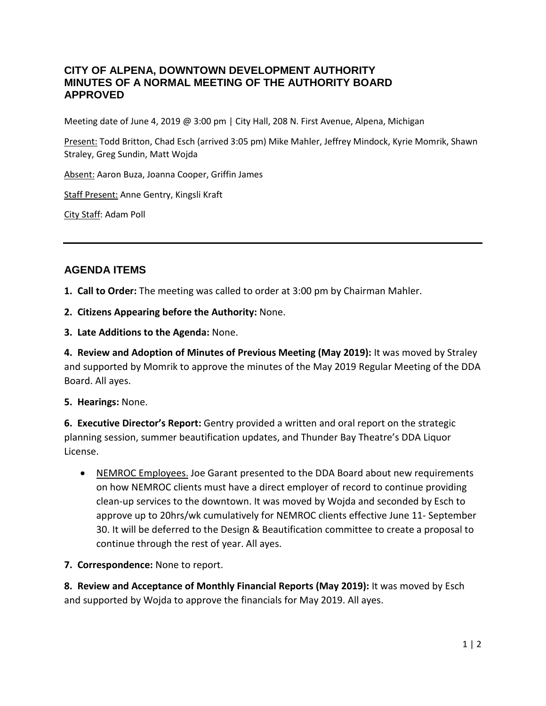## **CITY OF ALPENA, DOWNTOWN DEVELOPMENT AUTHORITY MINUTES OF A NORMAL MEETING OF THE AUTHORITY BOARD APPROVED**

Meeting date of June 4, 2019 @ 3:00 pm | City Hall, 208 N. First Avenue, Alpena, Michigan

Present: Todd Britton, Chad Esch (arrived 3:05 pm) Mike Mahler, Jeffrey Mindock, Kyrie Momrik, Shawn Straley, Greg Sundin, Matt Wojda

Absent: Aaron Buza, Joanna Cooper, Griffin James

Staff Present: Anne Gentry, Kingsli Kraft

City Staff: Adam Poll

# **AGENDA ITEMS**

**1. Call to Order:** The meeting was called to order at 3:00 pm by Chairman Mahler.

**2. Citizens Appearing before the Authority:** None.

**3. Late Additions to the Agenda:** None.

**4. Review and Adoption of Minutes of Previous Meeting (May 2019):** It was moved by Straley and supported by Momrik to approve the minutes of the May 2019 Regular Meeting of the DDA Board. All ayes.

**5. Hearings:** None.

**6. Executive Director's Report:** Gentry provided a written and oral report on the strategic planning session, summer beautification updates, and Thunder Bay Theatre's DDA Liquor License.

• NEMROC Employees. Joe Garant presented to the DDA Board about new requirements on how NEMROC clients must have a direct employer of record to continue providing clean-up services to the downtown. It was moved by Wojda and seconded by Esch to approve up to 20hrs/wk cumulatively for NEMROC clients effective June 11- September 30. It will be deferred to the Design & Beautification committee to create a proposal to continue through the rest of year. All ayes.

**7. Correspondence:** None to report.

**8. Review and Acceptance of Monthly Financial Reports (May 2019):** It was moved by Esch and supported by Wojda to approve the financials for May 2019. All ayes.